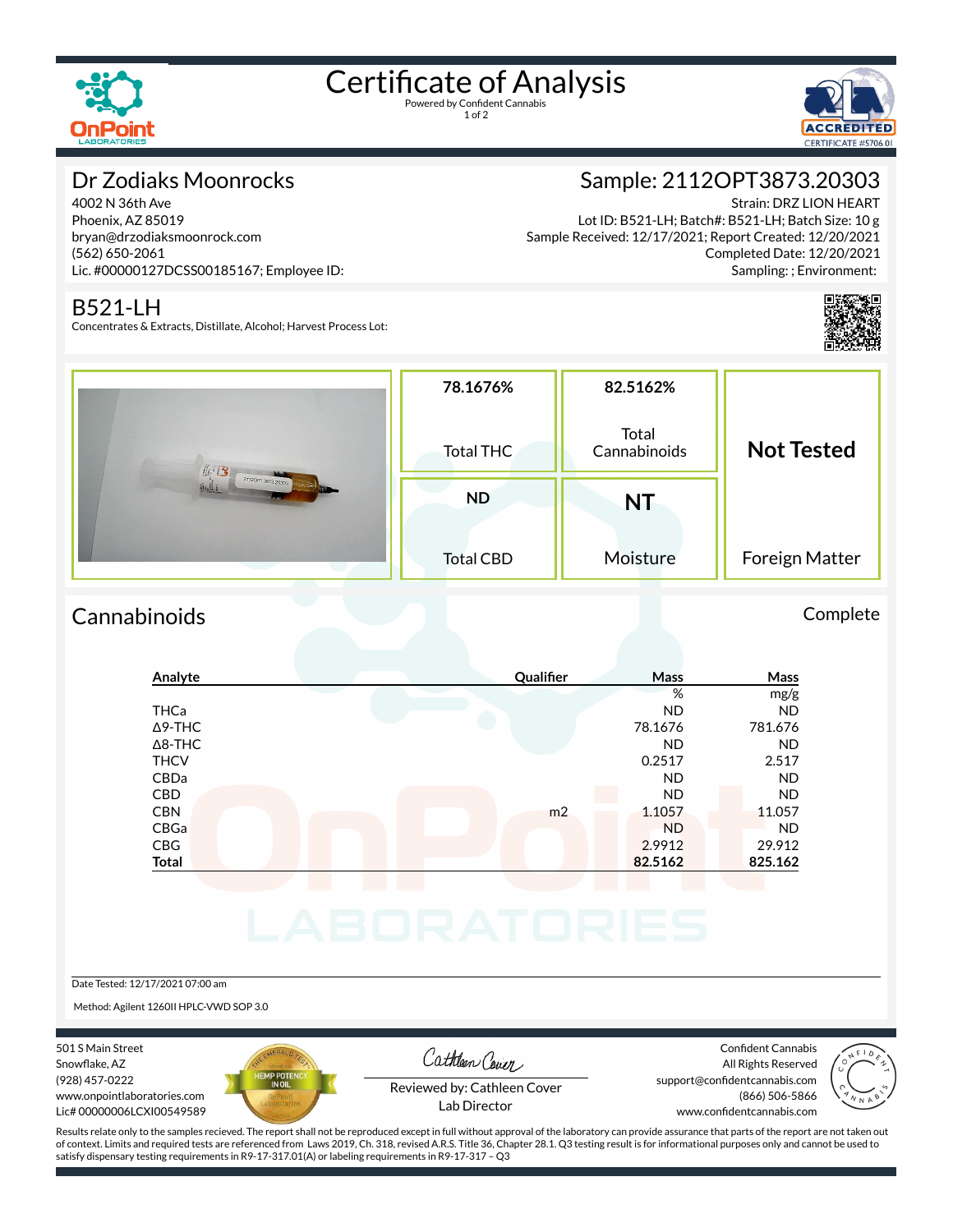

# Certificate of Analysis

1 of 2



## Dr Zodiaks Moonrocks

4002 N 36th Ave Phoenix, AZ 85019 bryan@drzodiaksmoonrock.com (562) 650-2061 Lic. #00000127DCSS00185167; Employee ID:

## B521-LH

Concentrates & Extracts, Distillate, Alcohol; Harvest Process Lot:

## Sample: 2112OPT3873.20303

Strain: DRZ LION HEART Lot ID: B521-LH; Batch#: B521-LH; Batch Size: 10 g Sample Received: 12/17/2021; Report Created: 12/20/2021 Completed Date: 12/20/2021 Sampling: ; Environment:



| #13<br>21120PT3873 20303 | 78.1676%         | 82.5162%              |                   |
|--------------------------|------------------|-----------------------|-------------------|
|                          | <b>Total THC</b> | Total<br>Cannabinoids | <b>Not Tested</b> |
|                          | <b>ND</b>        | <b>NT</b>             |                   |
|                          | <b>Total CBD</b> | Moisture              | Foreign Matter    |

## Cannabinoids Complete

## **Analyte Qualier Mass Mass** % mg/g THCa ND ND Δ9-THC 78.1676 781.676 Δ8-THC ND ND THCV 0.2517 2.517 CBDa ND ND CBD A RESIDENCE OF A RESIDENCE OF A RESIDENCE OF A RESIDENCE OF A RESIDENCE OF A RESIDENCE OF A RESIDENCE OF A **CBN** m2 1.1057 11.057 CBGa ND ND CBG 2.9912 29.912 **Total 82.5162 825.162**

Date Tested: 12/17/2021 07:00 am

Method: Agilent 1260II HPLC-VWD SOP 3.0

501 S Main Street Snowflake, AZ (928) 457-0222 www.onpointlaboratories.com Lic# 00000006LCXI00549589



Cathleen Cover

Confident Cannabis All Rights Reserved support@confidentcannabis.com (866) 506-5866



Reviewed by: Cathleen Cover Lab Director

www.confidentcannabis.com

Results relate only to the samples recieved. The report shall not be reproduced except in full without approval of the laboratory can provide assurance that parts of the report are not taken out of context. Limits and required tests are referenced from Laws 2019, Ch. 318, revised A.R.S. Title 36, Chapter 28.1. Q3 testing result is for informational purposes only and cannot be used to satisfy dispensary testing requirements in R9-17-317.01(A) or labeling requirements in R9-17-317 – Q3